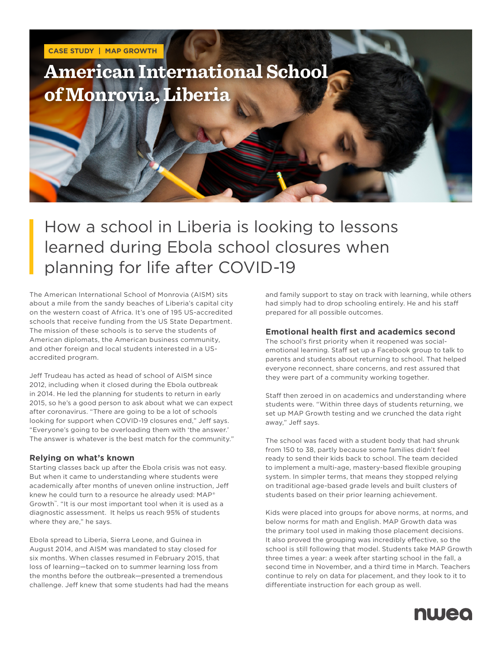

# How a school in Liberia is looking to lessons learned during Ebola school closures when planning for life after COVID-19

The American International School of Monrovia (AISM) sits about a mile from the sandy beaches of Liberia's capital city on the western coast of Africa. It's one of 195 US-accredited schools that receive funding from the US State Department. The mission of these schools is to serve the students of American diplomats, the American business community, and other foreign and local students interested in a USaccredited program.

Jeff Trudeau has acted as head of school of AISM since 2012, including when it closed during the Ebola outbreak in 2014. He led the planning for students to return in early 2015, so he's a good person to ask about what we can expect after coronavirus. "There are going to be a lot of schools looking for support when COVID-19 closures end," Jeff says. "Everyone's going to be overloading them with 'the answer.' The answer is whatever is the best match for the community."

## **Relying on what's known**

Starting classes back up after the Ebola crisis was not easy. But when it came to understanding where students were academically after months of uneven online instruction, Jeff knew he could turn to a resource he already used: MAP® Growth™. "It is our most important tool when it is used as a diagnostic assessment. It helps us reach 95% of students where they are," he says.

Ebola spread to Liberia, Sierra Leone, and Guinea in August 2014, and AISM was mandated to stay closed for six months. When classes resumed in February 2015, that loss of learning—tacked on to summer learning loss from the months before the outbreak—presented a tremendous challenge. Jeff knew that some students had had the means and family support to stay on track with learning, while others had simply had to drop schooling entirely. He and his staff prepared for all possible outcomes.

### **Emotional health first and academics second**

The school's first priority when it reopened was socialemotional learning. Staff set up a Facebook group to talk to parents and students about returning to school. That helped everyone reconnect, share concerns, and rest assured that they were part of a community working together.

Staff then zeroed in on academics and understanding where students were. "Within three days of students returning, we set up MAP Growth testing and we crunched the data right away," Jeff says.

The school was faced with a student body that had shrunk from 150 to 38, partly because some families didn't feel ready to send their kids back to school. The team decided to implement a multi-age, mastery-based flexible grouping system. In simpler terms, that means they stopped relying on traditional age-based grade levels and built clusters of students based on their prior learning achievement.

Kids were placed into groups for above norms, at norms, and below norms for math and English. MAP Growth data was the primary tool used in making those placement decisions. It also proved the grouping was incredibly effective, so the school is still following that model. Students take MAP Growth three times a year: a week after starting school in the fall, a second time in November, and a third time in March. Teachers continue to rely on data for placement, and they look to it to differentiate instruction for each group as well.